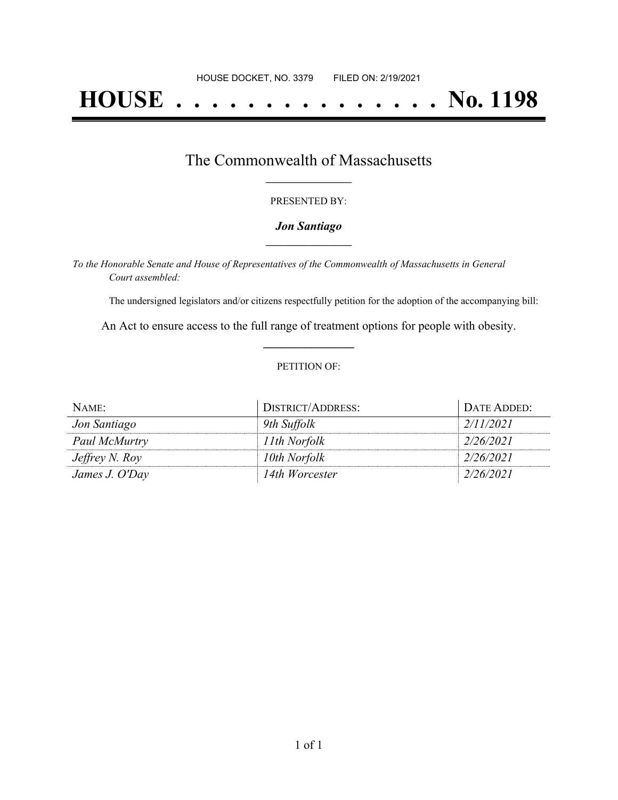# **HOUSE . . . . . . . . . . . . . . . No. 1198**

### The Commonwealth of Massachusetts **\_\_\_\_\_\_\_\_\_\_\_\_\_\_\_\_\_**

#### PRESENTED BY:

#### *Jon Santiago* **\_\_\_\_\_\_\_\_\_\_\_\_\_\_\_\_\_**

*To the Honorable Senate and House of Representatives of the Commonwealth of Massachusetts in General Court assembled:*

The undersigned legislators and/or citizens respectfully petition for the adoption of the accompanying bill:

An Act to ensure access to the full range of treatment options for people with obesity. **\_\_\_\_\_\_\_\_\_\_\_\_\_\_\_**

#### PETITION OF:

| NAME:                 | <b>DISTRICT/ADDRESS:</b> | DATE ADDED: |
|-----------------------|--------------------------|-------------|
| Jon Santiago          | 9th Suffolk              | 2/11/2021   |
| Paul McMurtry         | 11th Norfolk             | 2/26/2021   |
| <i>Jeffrey N. Roy</i> | 10th Norfolk             | 2/26/2021   |
| James J. O'Day        | 14th Worcester           | 2/26/2021   |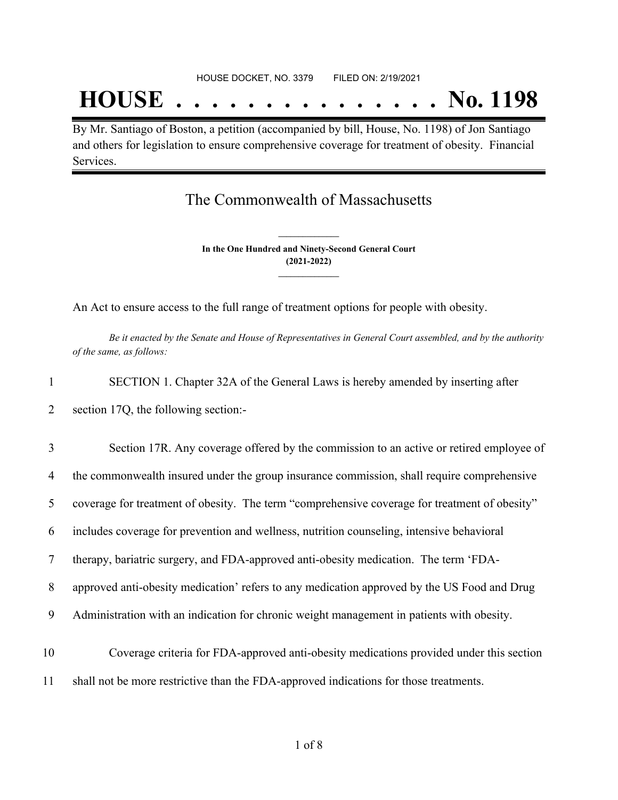# **HOUSE . . . . . . . . . . . . . . . No. 1198**

By Mr. Santiago of Boston, a petition (accompanied by bill, House, No. 1198) of Jon Santiago and others for legislation to ensure comprehensive coverage for treatment of obesity. Financial Services.

## The Commonwealth of Massachusetts

**In the One Hundred and Ninety-Second General Court (2021-2022) \_\_\_\_\_\_\_\_\_\_\_\_\_\_\_**

**\_\_\_\_\_\_\_\_\_\_\_\_\_\_\_**

An Act to ensure access to the full range of treatment options for people with obesity.

Be it enacted by the Senate and House of Representatives in General Court assembled, and by the authority *of the same, as follows:*

- 1 SECTION 1. Chapter 32A of the General Laws is hereby amended by inserting after 2 section 17Q, the following section:-
- 3 Section 17R. Any coverage offered by the commission to an active or retired employee of 4 the commonwealth insured under the group insurance commission, shall require comprehensive 5 coverage for treatment of obesity. The term "comprehensive coverage for treatment of obesity" 6 includes coverage for prevention and wellness, nutrition counseling, intensive behavioral 7 therapy, bariatric surgery, and FDA-approved anti-obesity medication. The term 'FDA-8 approved anti-obesity medication' refers to any medication approved by the US Food and Drug 9 Administration with an indication for chronic weight management in patients with obesity. 10 Coverage criteria for FDA-approved anti-obesity medications provided under this section
- 11 shall not be more restrictive than the FDA-approved indications for those treatments.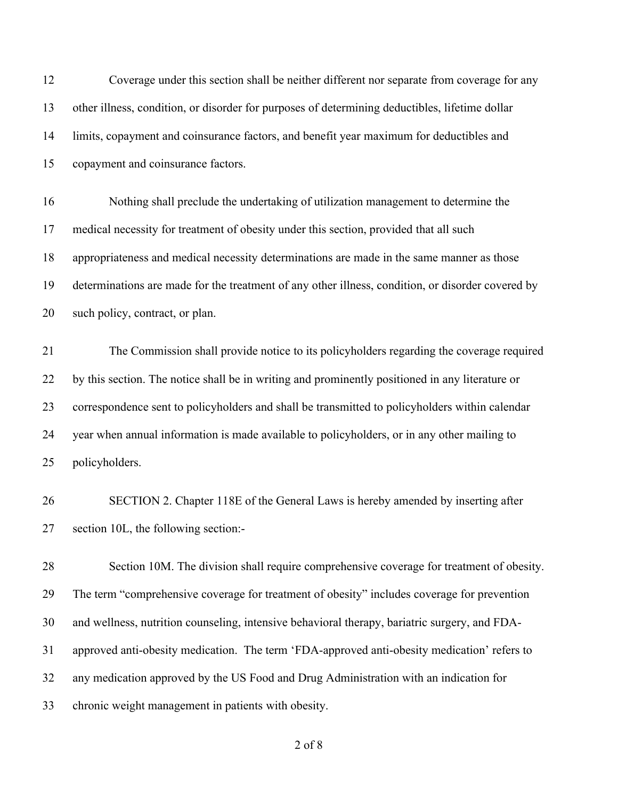| 12 | Coverage under this section shall be neither different nor separate from coverage for any         |
|----|---------------------------------------------------------------------------------------------------|
| 13 | other illness, condition, or disorder for purposes of determining deductibles, lifetime dollar    |
| 14 | limits, copayment and coinsurance factors, and benefit year maximum for deductibles and           |
| 15 | copayment and coinsurance factors.                                                                |
| 16 | Nothing shall preclude the undertaking of utilization management to determine the                 |
| 17 | medical necessity for treatment of obesity under this section, provided that all such             |
| 18 | appropriateness and medical necessity determinations are made in the same manner as those         |
| 19 | determinations are made for the treatment of any other illness, condition, or disorder covered by |
| 20 | such policy, contract, or plan.                                                                   |
| 21 | The Commission shall provide notice to its policyholders regarding the coverage required          |
| 22 | by this section. The notice shall be in writing and prominently positioned in any literature or   |
| 23 | correspondence sent to policyholders and shall be transmitted to policyholders within calendar    |
| 24 | year when annual information is made available to policyholders, or in any other mailing to       |
| 25 | policyholders.                                                                                    |
| 26 | SECTION 2. Chapter 118E of the General Laws is hereby amended by inserting after                  |
| 27 | section 10L, the following section:-                                                              |
| 28 | Section 10M. The division shall require comprehensive coverage for treatment of obesity.          |
| 29 | The term "comprehensive coverage for treatment of obesity" includes coverage for prevention       |
| 30 | and wellness, nutrition counseling, intensive behavioral therapy, bariatric surgery, and FDA-     |
| 31 | approved anti-obesity medication. The term 'FDA-approved anti-obesity medication' refers to       |
| 32 | any medication approved by the US Food and Drug Administration with an indication for             |
| 33 | chronic weight management in patients with obesity.                                               |

of 8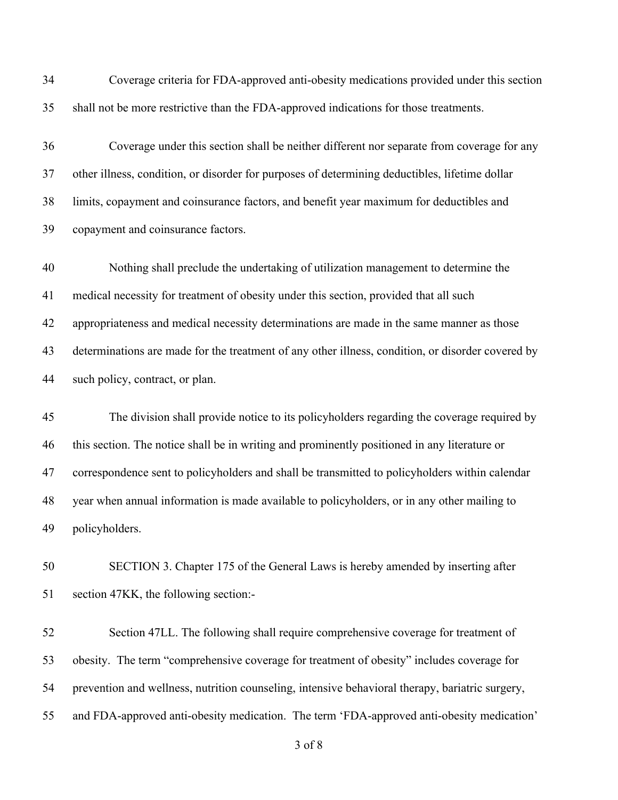| shall not be more restrictive than the FDA-approved indications for those treatments.<br>Coverage under this section shall be neither different nor separate from coverage for any<br>other illness, condition, or disorder for purposes of determining deductibles, lifetime dollar |
|--------------------------------------------------------------------------------------------------------------------------------------------------------------------------------------------------------------------------------------------------------------------------------------|
|                                                                                                                                                                                                                                                                                      |
|                                                                                                                                                                                                                                                                                      |
|                                                                                                                                                                                                                                                                                      |
| limits, copayment and coinsurance factors, and benefit year maximum for deductibles and                                                                                                                                                                                              |
| copayment and coinsurance factors.                                                                                                                                                                                                                                                   |
| Nothing shall preclude the undertaking of utilization management to determine the                                                                                                                                                                                                    |
| medical necessity for treatment of obesity under this section, provided that all such                                                                                                                                                                                                |
| appropriateness and medical necessity determinations are made in the same manner as those                                                                                                                                                                                            |
| determinations are made for the treatment of any other illness, condition, or disorder covered by                                                                                                                                                                                    |
| such policy, contract, or plan.                                                                                                                                                                                                                                                      |
|                                                                                                                                                                                                                                                                                      |
| The division shall provide notice to its policyholders regarding the coverage required by                                                                                                                                                                                            |
| this section. The notice shall be in writing and prominently positioned in any literature or                                                                                                                                                                                         |
| correspondence sent to policyholders and shall be transmitted to policyholders within calendar                                                                                                                                                                                       |
| year when annual information is made available to policyholders, or in any other mailing to                                                                                                                                                                                          |
| policyholders.                                                                                                                                                                                                                                                                       |
| SECTION 3. Chapter 175 of the General Laws is hereby amended by inserting after                                                                                                                                                                                                      |
| section 47KK, the following section:-                                                                                                                                                                                                                                                |
| Section 47LL. The following shall require comprehensive coverage for treatment of                                                                                                                                                                                                    |
| obesity. The term "comprehensive coverage for treatment of obesity" includes coverage for                                                                                                                                                                                            |
| prevention and wellness, nutrition counseling, intensive behavioral therapy, bariatric surgery,                                                                                                                                                                                      |
|                                                                                                                                                                                                                                                                                      |

of 8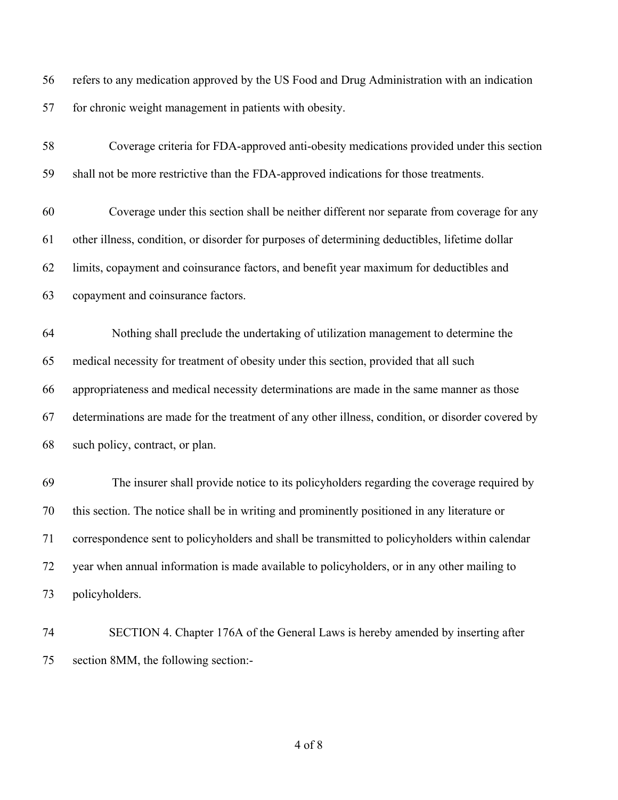refers to any medication approved by the US Food and Drug Administration with an indication for chronic weight management in patients with obesity.

| 58 | Coverage criteria for FDA-approved anti-obesity medications provided under this section           |
|----|---------------------------------------------------------------------------------------------------|
| 59 | shall not be more restrictive than the FDA-approved indications for those treatments.             |
| 60 | Coverage under this section shall be neither different nor separate from coverage for any         |
| 61 | other illness, condition, or disorder for purposes of determining deductibles, lifetime dollar    |
| 62 | limits, copayment and coinsurance factors, and benefit year maximum for deductibles and           |
| 63 | copayment and coinsurance factors.                                                                |
| 64 | Nothing shall preclude the undertaking of utilization management to determine the                 |
| 65 | medical necessity for treatment of obesity under this section, provided that all such             |
| 66 | appropriateness and medical necessity determinations are made in the same manner as those         |
| 67 | determinations are made for the treatment of any other illness, condition, or disorder covered by |
| 68 | such policy, contract, or plan.                                                                   |
| 69 | The insurer shall provide notice to its policyholders regarding the coverage required by          |
| 70 | this section. The notice shall be in writing and prominently positioned in any literature or      |
| 71 | correspondence sent to policyholders and shall be transmitted to policyholders within calendar    |
| 72 | year when annual information is made available to policyholders, or in any other mailing to       |
| 73 | policyholders.                                                                                    |
|    |                                                                                                   |

 SECTION 4. Chapter 176A of the General Laws is hereby amended by inserting after section 8MM, the following section:-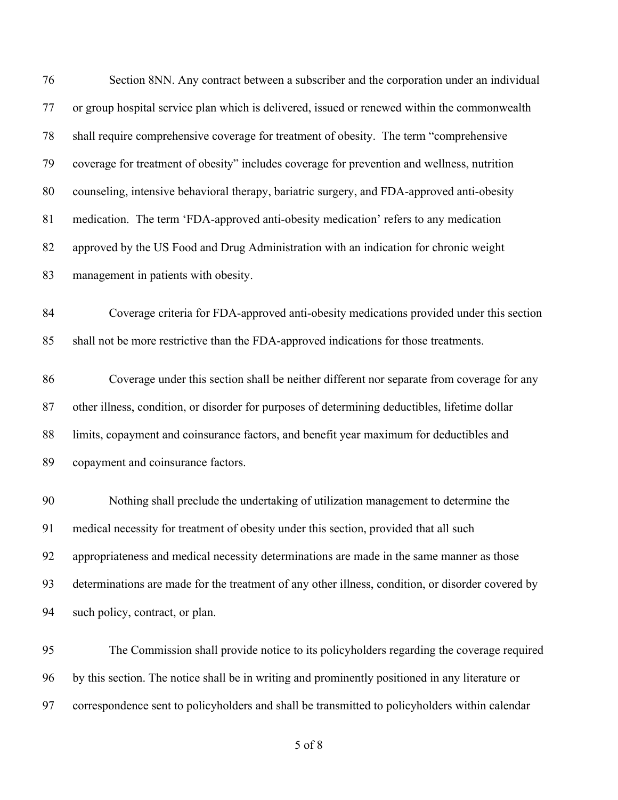| 76 | Section 8NN. Any contract between a subscriber and the corporation under an individual            |
|----|---------------------------------------------------------------------------------------------------|
| 77 | or group hospital service plan which is delivered, issued or renewed within the commonwealth      |
| 78 | shall require comprehensive coverage for treatment of obesity. The term "comprehensive            |
| 79 | coverage for treatment of obesity" includes coverage for prevention and wellness, nutrition       |
| 80 | counseling, intensive behavioral therapy, bariatric surgery, and FDA-approved anti-obesity        |
| 81 | medication. The term 'FDA-approved anti-obesity medication' refers to any medication              |
| 82 | approved by the US Food and Drug Administration with an indication for chronic weight             |
| 83 | management in patients with obesity.                                                              |
| 84 | Coverage criteria for FDA-approved anti-obesity medications provided under this section           |
| 85 | shall not be more restrictive than the FDA-approved indications for those treatments.             |
| 86 | Coverage under this section shall be neither different nor separate from coverage for any         |
| 87 | other illness, condition, or disorder for purposes of determining deductibles, lifetime dollar    |
| 88 | limits, copayment and coinsurance factors, and benefit year maximum for deductibles and           |
| 89 | copayment and coinsurance factors.                                                                |
| 90 | Nothing shall preclude the undertaking of utilization management to determine the                 |
| 91 | medical necessity for treatment of obesity under this section, provided that all such             |
| 92 | appropriateness and medical necessity determinations are made in the same manner as those         |
| 93 | determinations are made for the treatment of any other illness, condition, or disorder covered by |
| 94 | such policy, contract, or plan.                                                                   |
| 95 | The Commission shall provide notice to its policyholders regarding the coverage required          |
| 96 | by this section. The notice shall be in writing and prominently positioned in any literature or   |

correspondence sent to policyholders and shall be transmitted to policyholders within calendar

of 8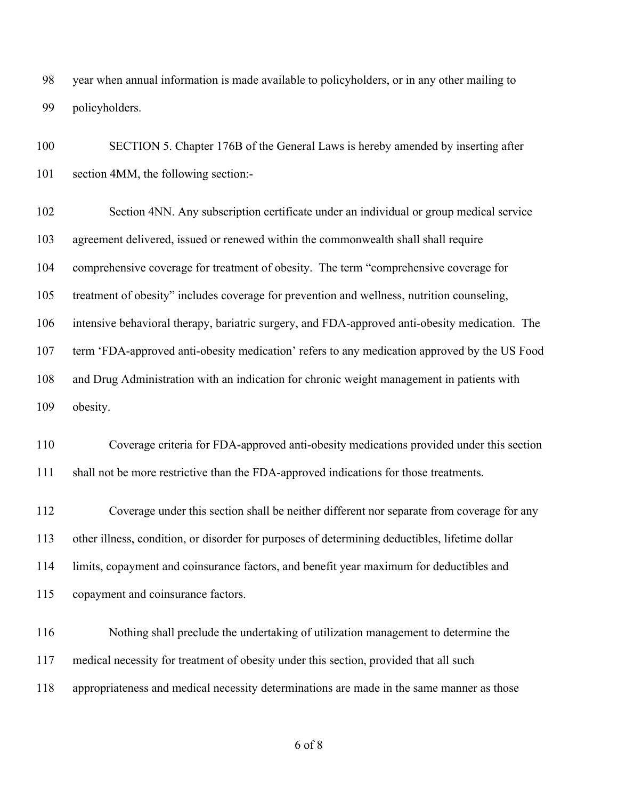year when annual information is made available to policyholders, or in any other mailing to policyholders.

 SECTION 5. Chapter 176B of the General Laws is hereby amended by inserting after section 4MM, the following section:-

 Section 4NN. Any subscription certificate under an individual or group medical service agreement delivered, issued or renewed within the commonwealth shall shall require comprehensive coverage for treatment of obesity. The term "comprehensive coverage for treatment of obesity" includes coverage for prevention and wellness, nutrition counseling, intensive behavioral therapy, bariatric surgery, and FDA-approved anti-obesity medication. The term 'FDA-approved anti-obesity medication' refers to any medication approved by the US Food and Drug Administration with an indication for chronic weight management in patients with obesity.

 Coverage criteria for FDA-approved anti-obesity medications provided under this section shall not be more restrictive than the FDA-approved indications for those treatments.

 Coverage under this section shall be neither different nor separate from coverage for any other illness, condition, or disorder for purposes of determining deductibles, lifetime dollar limits, copayment and coinsurance factors, and benefit year maximum for deductibles and copayment and coinsurance factors.

 Nothing shall preclude the undertaking of utilization management to determine the medical necessity for treatment of obesity under this section, provided that all such appropriateness and medical necessity determinations are made in the same manner as those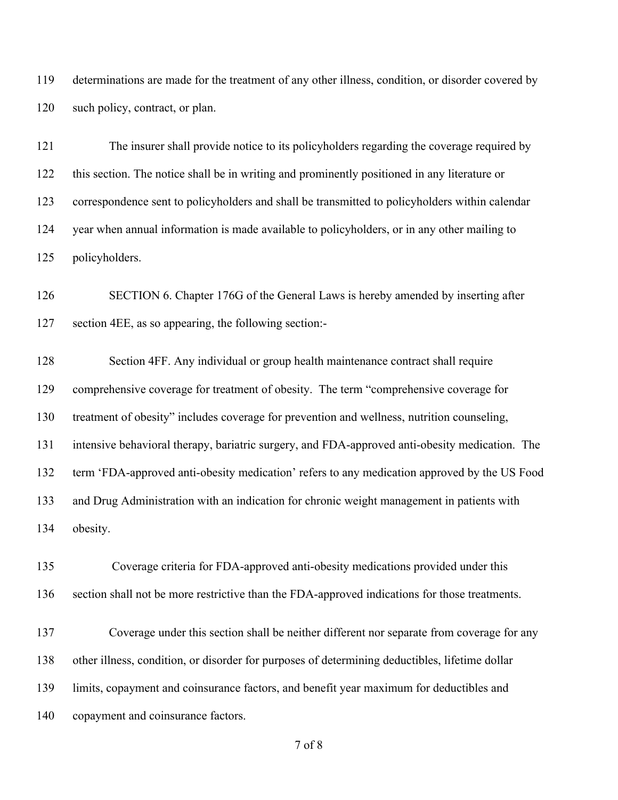determinations are made for the treatment of any other illness, condition, or disorder covered by such policy, contract, or plan.

 The insurer shall provide notice to its policyholders regarding the coverage required by this section. The notice shall be in writing and prominently positioned in any literature or correspondence sent to policyholders and shall be transmitted to policyholders within calendar year when annual information is made available to policyholders, or in any other mailing to policyholders.

 SECTION 6. Chapter 176G of the General Laws is hereby amended by inserting after section 4EE, as so appearing, the following section:-

 Section 4FF. Any individual or group health maintenance contract shall require comprehensive coverage for treatment of obesity. The term "comprehensive coverage for treatment of obesity" includes coverage for prevention and wellness, nutrition counseling, intensive behavioral therapy, bariatric surgery, and FDA-approved anti-obesity medication. The term 'FDA-approved anti-obesity medication' refers to any medication approved by the US Food and Drug Administration with an indication for chronic weight management in patients with obesity.

 Coverage criteria for FDA-approved anti-obesity medications provided under this section shall not be more restrictive than the FDA-approved indications for those treatments.

 Coverage under this section shall be neither different nor separate from coverage for any other illness, condition, or disorder for purposes of determining deductibles, lifetime dollar limits, copayment and coinsurance factors, and benefit year maximum for deductibles and copayment and coinsurance factors.